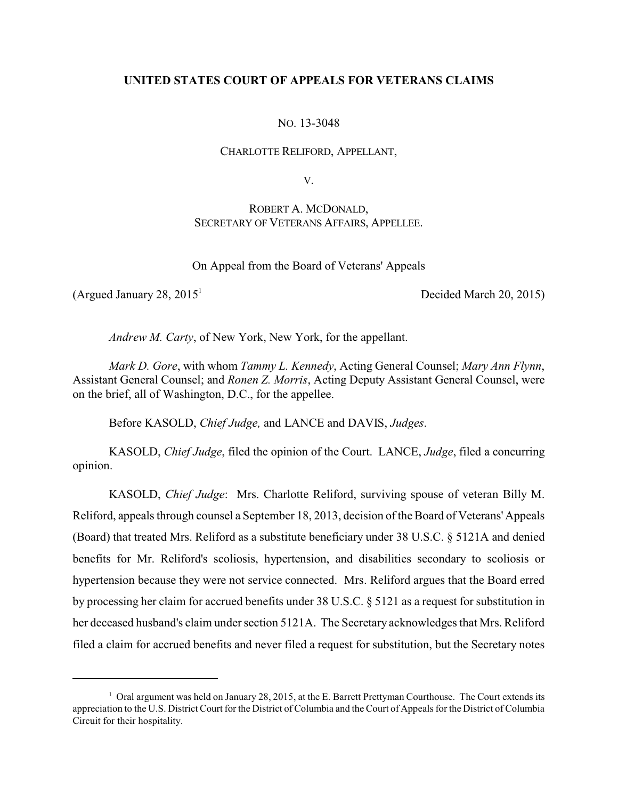# **UNITED STATES COURT OF APPEALS FOR VETERANS CLAIMS**

NO. 13-3048

## CHARLOTTE RELIFORD, APPELLANT,

V.

# ROBERT A. MCDONALD, SECRETARY OF VETERANS AFFAIRS, APPELLEE.

On Appeal from the Board of Veterans' Appeals

(Argued January  $28, 2015<sup>1</sup>$  Decided March  $20, 2015$ )

*Andrew M. Carty*, of New York, New York, for the appellant.

*Mark D. Gore*, with whom *Tammy L. Kennedy*, Acting General Counsel; *Mary Ann Flynn*, Assistant General Counsel; and *Ronen Z. Morris*, Acting Deputy Assistant General Counsel, were on the brief, all of Washington, D.C., for the appellee.

Before KASOLD, *Chief Judge,* and LANCE and DAVIS, *Judges*.

KASOLD, *Chief Judge*, filed the opinion of the Court. LANCE, *Judge*, filed a concurring opinion.

KASOLD, *Chief Judge*: Mrs. Charlotte Reliford, surviving spouse of veteran Billy M. Reliford, appeals through counsel a September 18, 2013, decision of the Board of Veterans' Appeals (Board) that treated Mrs. Reliford as a substitute beneficiary under 38 U.S.C. § 5121A and denied benefits for Mr. Reliford's scoliosis, hypertension, and disabilities secondary to scoliosis or hypertension because they were not service connected. Mrs. Reliford argues that the Board erred by processing her claim for accrued benefits under 38 U.S.C. § 5121 as a request for substitution in her deceased husband's claim under section 5121A. The Secretary acknowledges that Mrs. Reliford filed a claim for accrued benefits and never filed a request for substitution, but the Secretary notes

<sup>&</sup>lt;sup>1</sup> Oral argument was held on January 28, 2015, at the E. Barrett Prettyman Courthouse. The Court extends its appreciation to the U.S. District Court for the District of Columbia and the Court of Appeals for the District of Columbia Circuit for their hospitality.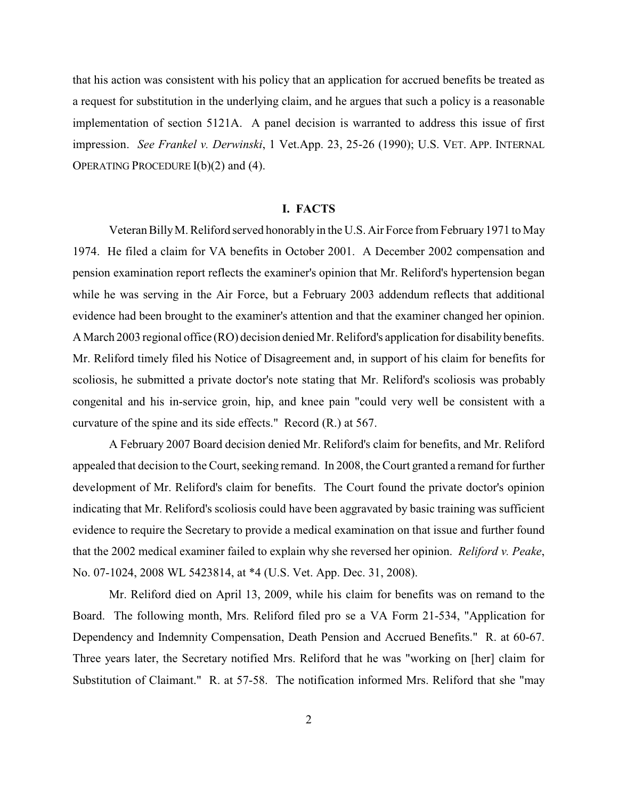that his action was consistent with his policy that an application for accrued benefits be treated as a request for substitution in the underlying claim, and he argues that such a policy is a reasonable implementation of section 5121A. A panel decision is warranted to address this issue of first impression. *See Frankel v. Derwinski*, 1 Vet.App. 23, 25-26 (1990); U.S. VET. APP. INTERNAL OPERATING PROCEDURE I(b)(2) and (4).

## **I. FACTS**

Veteran BillyM. Reliford served honorably in the U.S. Air Force from February 1971 to May 1974. He filed a claim for VA benefits in October 2001. A December 2002 compensation and pension examination report reflects the examiner's opinion that Mr. Reliford's hypertension began while he was serving in the Air Force, but a February 2003 addendum reflects that additional evidence had been brought to the examiner's attention and that the examiner changed her opinion. A March 2003 regional office (RO) decision denied Mr. Reliford's application for disability benefits. Mr. Reliford timely filed his Notice of Disagreement and, in support of his claim for benefits for scoliosis, he submitted a private doctor's note stating that Mr. Reliford's scoliosis was probably congenital and his in-service groin, hip, and knee pain "could very well be consistent with a curvature of the spine and its side effects." Record (R.) at 567.

A February 2007 Board decision denied Mr. Reliford's claim for benefits, and Mr. Reliford appealed that decision to the Court, seeking remand. In 2008, the Court granted a remand for further development of Mr. Reliford's claim for benefits. The Court found the private doctor's opinion indicating that Mr. Reliford's scoliosis could have been aggravated by basic training was sufficient evidence to require the Secretary to provide a medical examination on that issue and further found that the 2002 medical examiner failed to explain why she reversed her opinion. *Reliford v. Peake*, No. 07-1024, 2008 WL 5423814, at \*4 (U.S. Vet. App. Dec. 31, 2008).

Mr. Reliford died on April 13, 2009, while his claim for benefits was on remand to the Board. The following month, Mrs. Reliford filed pro se a VA Form 21-534, "Application for Dependency and Indemnity Compensation, Death Pension and Accrued Benefits." R. at 60-67. Three years later, the Secretary notified Mrs. Reliford that he was "working on [her] claim for Substitution of Claimant." R. at 57-58. The notification informed Mrs. Reliford that she "may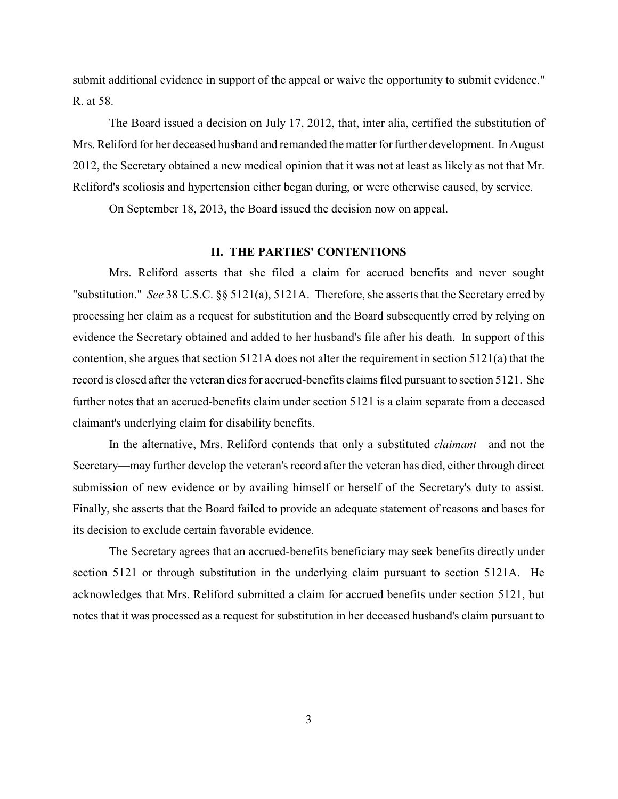submit additional evidence in support of the appeal or waive the opportunity to submit evidence." R. at 58.

The Board issued a decision on July 17, 2012, that, inter alia, certified the substitution of Mrs. Reliford for her deceased husband and remanded the matter for further development. In August 2012, the Secretary obtained a new medical opinion that it was not at least as likely as not that Mr. Reliford's scoliosis and hypertension either began during, or were otherwise caused, by service.

On September 18, 2013, the Board issued the decision now on appeal.

## **II. THE PARTIES' CONTENTIONS**

Mrs. Reliford asserts that she filed a claim for accrued benefits and never sought "substitution." *See* 38 U.S.C. §§ 5121(a), 5121A. Therefore, she asserts that the Secretary erred by processing her claim as a request for substitution and the Board subsequently erred by relying on evidence the Secretary obtained and added to her husband's file after his death. In support of this contention, she argues that section 5121A does not alter the requirement in section 5121(a) that the record is closed after the veteran dies for accrued-benefits claims filed pursuant to section 5121. She further notes that an accrued-benefits claim under section 5121 is a claim separate from a deceased claimant's underlying claim for disability benefits.

In the alternative, Mrs. Reliford contends that only a substituted *claimant*—and not the Secretary—may further develop the veteran's record after the veteran has died, either through direct submission of new evidence or by availing himself or herself of the Secretary's duty to assist. Finally, she asserts that the Board failed to provide an adequate statement of reasons and bases for its decision to exclude certain favorable evidence.

The Secretary agrees that an accrued-benefits beneficiary may seek benefits directly under section 5121 or through substitution in the underlying claim pursuant to section 5121A. He acknowledges that Mrs. Reliford submitted a claim for accrued benefits under section 5121, but notes that it was processed as a request for substitution in her deceased husband's claim pursuant to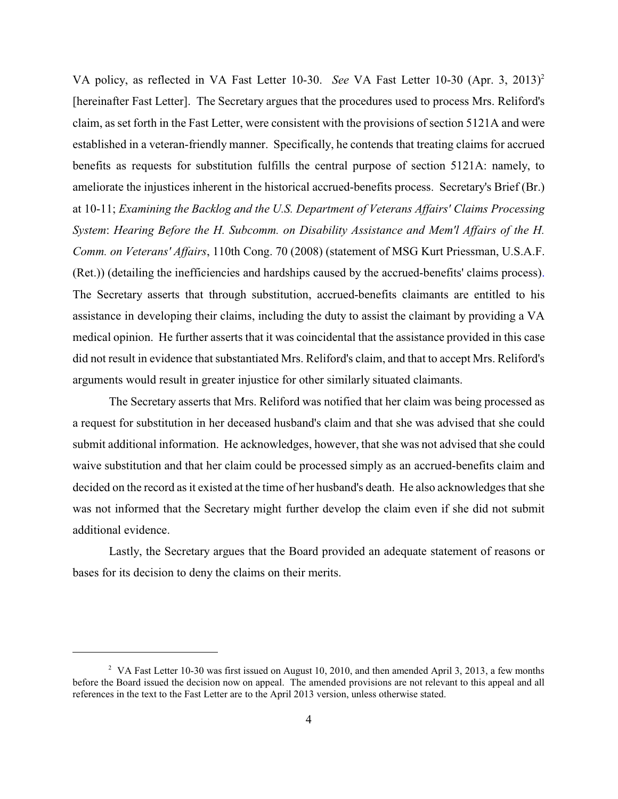VA policy, as reflected in VA Fast Letter 10-30. *See* VA Fast Letter 10-30 (Apr. 3, 2013)<sup>2</sup> [hereinafter Fast Letter]. The Secretary argues that the procedures used to process Mrs. Reliford's claim, as set forth in the Fast Letter, were consistent with the provisions of section 5121A and were established in a veteran-friendly manner. Specifically, he contends that treating claims for accrued benefits as requests for substitution fulfills the central purpose of section 5121A: namely, to ameliorate the injustices inherent in the historical accrued-benefits process. Secretary's Brief (Br.) at 10-11; *Examining the Backlog and the U.S. Department of Veterans Affairs' Claims Processing System*: *Hearing Before the H. Subcomm. on Disability Assistance and Mem'l Affairs of the H. Comm. on Veterans' Affairs*, 110th Cong. 70 (2008) (statement of MSG Kurt Priessman, U.S.A.F. (Ret.)) (detailing the inefficiencies and hardships caused by the accrued-benefits' claims process). The Secretary asserts that through substitution, accrued-benefits claimants are entitled to his assistance in developing their claims, including the duty to assist the claimant by providing a VA medical opinion. He further asserts that it was coincidental that the assistance provided in this case did not result in evidence that substantiated Mrs. Reliford's claim, and that to accept Mrs. Reliford's arguments would result in greater injustice for other similarly situated claimants.

The Secretary asserts that Mrs. Reliford was notified that her claim was being processed as a request for substitution in her deceased husband's claim and that she was advised that she could submit additional information. He acknowledges, however, that she was not advised that she could waive substitution and that her claim could be processed simply as an accrued-benefits claim and decided on the record as it existed at the time of her husband's death. He also acknowledges that she was not informed that the Secretary might further develop the claim even if she did not submit additional evidence.

Lastly, the Secretary argues that the Board provided an adequate statement of reasons or bases for its decision to deny the claims on their merits.

<sup>&</sup>lt;sup>2</sup> VA Fast Letter 10-30 was first issued on August 10, 2010, and then amended April 3, 2013, a few months before the Board issued the decision now on appeal. The amended provisions are not relevant to this appeal and all references in the text to the Fast Letter are to the April 2013 version, unless otherwise stated.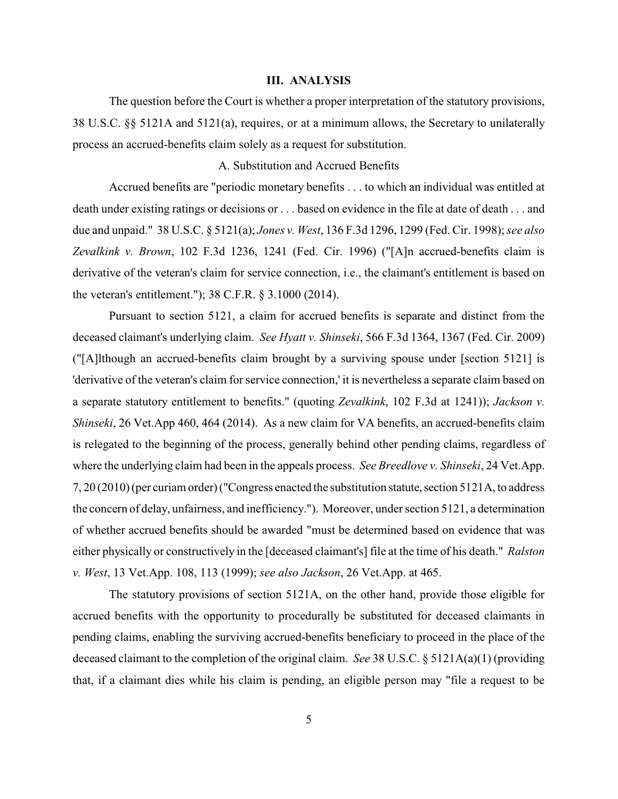#### **III. ANALYSIS**

The question before the Court is whether a proper interpretation of the statutory provisions, 38 U.S.C. §§ 5121A and 5121(a), requires, or at a minimum allows, the Secretary to unilaterally process an accrued-benefits claim solely as a request for substitution.

## A. Substitution and Accrued Benefits

Accrued benefits are "periodic monetary benefits . . . to which an individual was entitled at death under existing ratings or decisions or . . . based on evidence in the file at date of death . . . and due and unpaid." 38 U.S.C. § 5121(a); *Jones v. West*, 136 F.3d 1296, 1299 (Fed. Cir. 1998); *see also Zevalkink v. Brown*, 102 F.3d 1236, 1241 (Fed. Cir. 1996) ("[A]n accrued-benefits claim is derivative of the veteran's claim for service connection, i.e., the claimant's entitlement is based on the veteran's entitlement."); 38 C.F.R. § 3.1000 (2014).

Pursuant to section 5121, a claim for accrued benefits is separate and distinct from the deceased claimant's underlying claim. *See Hyatt v. Shinseki*, 566 F.3d 1364, 1367 (Fed. Cir. 2009) ("[A]lthough an accrued-benefits claim brought by a surviving spouse under [section 5121] is 'derivative of the veteran's claim for service connection,' it is nevertheless a separate claim based on a separate statutory entitlement to benefits." (quoting *Zevalkink*, 102 F.3d at 1241)); *Jackson v. Shinseki*, 26 Vet.App 460, 464 (2014). As a new claim for VA benefits, an accrued-benefits claim is relegated to the beginning of the process, generally behind other pending claims, regardless of where the underlying claim had been in the appeals process. *See Breedlove v. Shinseki*, 24 Vet.App. 7, 20 (2010) (per curiam order) ("Congress enacted the substitution statute, section 5121A, to address the concern of delay, unfairness, and inefficiency."). Moreover, under section 5121, a determination of whether accrued benefits should be awarded "must be determined based on evidence that was either physically or constructively in the [deceased claimant's] file at the time of his death." *Ralston v. West*, 13 Vet.App. 108, 113 (1999); *see also Jackson*, 26 Vet.App. at 465.

The statutory provisions of section 5121A, on the other hand, provide those eligible for accrued benefits with the opportunity to procedurally be substituted for deceased claimants in pending claims, enabling the surviving accrued-benefits beneficiary to proceed in the place of the deceased claimant to the completion of the original claim. *See* 38 U.S.C. § 5121A(a)(1) (providing that, if a claimant dies while his claim is pending, an eligible person may "file a request to be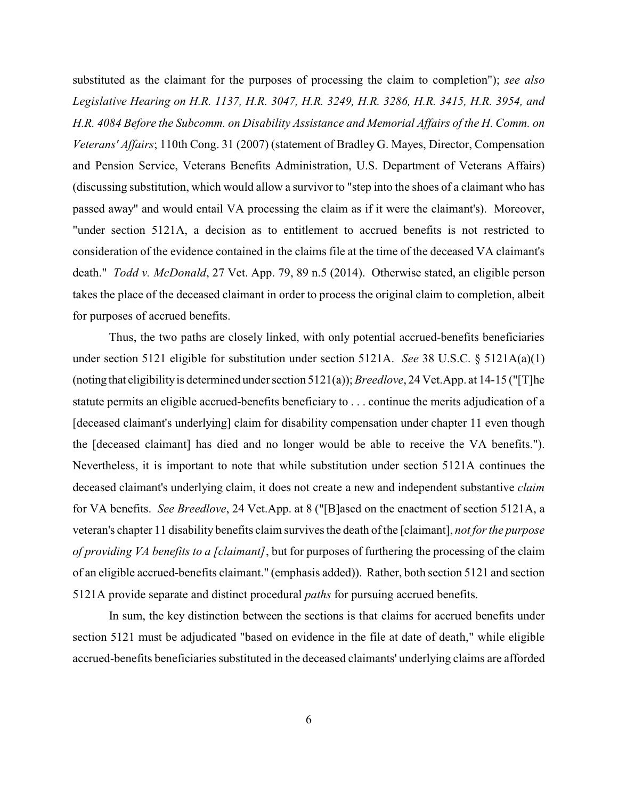substituted as the claimant for the purposes of processing the claim to completion"); *see also Legislative Hearing on H.R. 1137, H.R. 3047, H.R. 3249, H.R. 3286, H.R. 3415, H.R. 3954, and H.R. 4084 Before the Subcomm. on Disability Assistance and Memorial Affairs of the H. Comm. on Veterans' Affairs*; 110th Cong. 31 (2007) (statement of Bradley G. Mayes, Director, Compensation and Pension Service, Veterans Benefits Administration, U.S. Department of Veterans Affairs) (discussing substitution, which would allow a survivor to "step into the shoes of a claimant who has passed away" and would entail VA processing the claim as if it were the claimant's). Moreover, "under section 5121A, a decision as to entitlement to accrued benefits is not restricted to consideration of the evidence contained in the claims file at the time of the deceased VA claimant's death." *Todd v. McDonald*, 27 Vet. App. 79, 89 n.5 (2014). Otherwise stated, an eligible person takes the place of the deceased claimant in order to process the original claim to completion, albeit for purposes of accrued benefits.

Thus, the two paths are closely linked, with only potential accrued-benefits beneficiaries under section 5121 eligible for substitution under section 5121A. *See* 38 U.S.C. § 5121A(a)(1) (noting that eligibilityis determined under section 5121(a)); *Breedlove*, 24 Vet.App. at 14-15 ("[T]he statute permits an eligible accrued-benefits beneficiary to . . . continue the merits adjudication of a [deceased claimant's underlying] claim for disability compensation under chapter 11 even though the [deceased claimant] has died and no longer would be able to receive the VA benefits."). Nevertheless, it is important to note that while substitution under section 5121A continues the deceased claimant's underlying claim, it does not create a new and independent substantive *claim* for VA benefits. *See Breedlove*, 24 Vet.App. at 8 ("[B]ased on the enactment of section 5121A, a veteran's chapter 11 disability benefits claim survives the death of the [claimant], *not for the purpose of providing VA benefits to a [claimant]*, but for purposes of furthering the processing of the claim of an eligible accrued-benefits claimant." (emphasis added)). Rather, both section 5121 and section 5121A provide separate and distinct procedural *paths* for pursuing accrued benefits.

In sum, the key distinction between the sections is that claims for accrued benefits under section 5121 must be adjudicated "based on evidence in the file at date of death," while eligible accrued-benefits beneficiaries substituted in the deceased claimants' underlying claims are afforded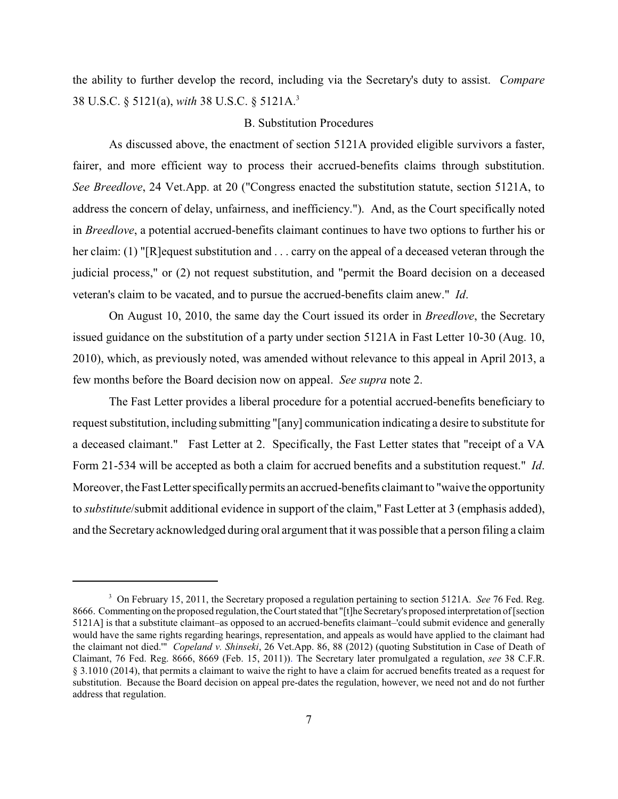the ability to further develop the record, including via the Secretary's duty to assist. *Compare* 38 U.S.C. § 5121(a), *with* 38 U.S.C. § 5121A.<sup>3</sup>

### B. Substitution Procedures

As discussed above, the enactment of section 5121A provided eligible survivors a faster, fairer, and more efficient way to process their accrued-benefits claims through substitution. *See Breedlove*, 24 Vet.App. at 20 ("Congress enacted the substitution statute, section 5121A, to address the concern of delay, unfairness, and inefficiency."). And, as the Court specifically noted in *Breedlove*, a potential accrued-benefits claimant continues to have two options to further his or her claim: (1) "[R]equest substitution and . . . carry on the appeal of a deceased veteran through the judicial process," or (2) not request substitution, and "permit the Board decision on a deceased veteran's claim to be vacated, and to pursue the accrued-benefits claim anew." *Id*.

On August 10, 2010, the same day the Court issued its order in *Breedlove*, the Secretary issued guidance on the substitution of a party under section 5121A in Fast Letter 10-30 (Aug. 10, 2010), which, as previously noted, was amended without relevance to this appeal in April 2013, a few months before the Board decision now on appeal. *See supra* note 2.

The Fast Letter provides a liberal procedure for a potential accrued-benefits beneficiary to request substitution, including submitting "[any] communication indicating a desire to substitute for a deceased claimant." Fast Letter at 2. Specifically, the Fast Letter states that "receipt of a VA Form 21-534 will be accepted as both a claim for accrued benefits and a substitution request." *Id*. Moreover, the Fast Letter specifically permits an accrued-benefits claimant to "waive the opportunity" to *substitute*/submit additional evidence in support of the claim," Fast Letter at 3 (emphasis added), and the Secretary acknowledged during oral argument that it was possible that a person filing a claim

<sup>&</sup>lt;sup>3</sup> On February 15, 2011, the Secretary proposed a regulation pertaining to section 5121A. *See* 76 Fed. Reg. 8666. Commenting on the proposed regulation, the Court stated that "[t]he Secretary's proposed interpretation of [section 5121A] is that a substitute claimant–as opposed to an accrued-benefits claimant–'could submit evidence and generally would have the same rights regarding hearings, representation, and appeals as would have applied to the claimant had the claimant not died.'" *Copeland v. Shinseki*, 26 Vet.App. 86, 88 (2012) (quoting Substitution in Case of Death of Claimant, 76 Fed. Reg. 8666, 8669 (Feb. 15, 2011)). The Secretary later promulgated a regulation, *see* 38 C.F.R. § 3.1010 (2014), that permits a claimant to waive the right to have a claim for accrued benefits treated as a request for substitution. Because the Board decision on appeal pre-dates the regulation, however, we need not and do not further address that regulation.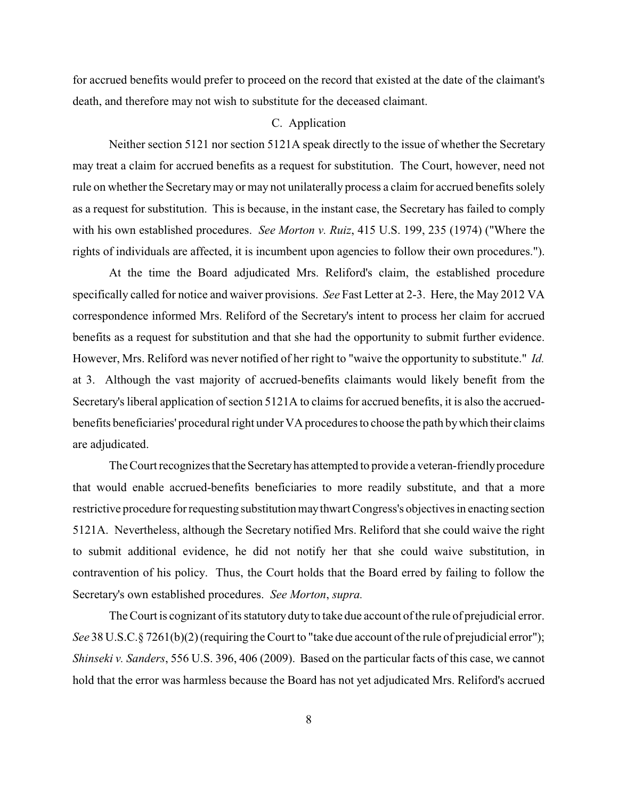for accrued benefits would prefer to proceed on the record that existed at the date of the claimant's death, and therefore may not wish to substitute for the deceased claimant.

## C. Application

Neither section 5121 nor section 5121A speak directly to the issue of whether the Secretary may treat a claim for accrued benefits as a request for substitution. The Court, however, need not rule on whether the Secretary may or may not unilaterally process a claim for accrued benefits solely as a request for substitution. This is because, in the instant case, the Secretary has failed to comply with his own established procedures. *See Morton v. Ruiz*, 415 U.S. 199, 235 (1974) ("Where the rights of individuals are affected, it is incumbent upon agencies to follow their own procedures.").

At the time the Board adjudicated Mrs. Reliford's claim, the established procedure specifically called for notice and waiver provisions. *See* Fast Letter at 2-3. Here, the May 2012 VA correspondence informed Mrs. Reliford of the Secretary's intent to process her claim for accrued benefits as a request for substitution and that she had the opportunity to submit further evidence. However, Mrs. Reliford was never notified of her right to "waive the opportunity to substitute." *Id.* at 3. Although the vast majority of accrued-benefits claimants would likely benefit from the Secretary's liberal application of section 5121A to claims for accrued benefits, it is also the accruedbenefits beneficiaries' procedural right under VA procedures to choose the path bywhich their claims are adjudicated.

The Court recognizes that the Secretary has attempted to provide a veteran-friendly procedure that would enable accrued-benefits beneficiaries to more readily substitute, and that a more restrictive procedure for requesting substitutionmaythwart Congress's objectives in enacting section 5121A. Nevertheless, although the Secretary notified Mrs. Reliford that she could waive the right to submit additional evidence, he did not notify her that she could waive substitution, in contravention of his policy. Thus, the Court holds that the Board erred by failing to follow the Secretary's own established procedures. *See Morton*, *supra.*

The Court is cognizant of its statutory duty to take due account of the rule of prejudicial error. *See* 38 U.S.C.§ 7261(b)(2) (requiring the Court to "take due account of the rule of prejudicial error"); *Shinseki v. Sanders*, 556 U.S. 396, 406 (2009). Based on the particular facts of this case, we cannot hold that the error was harmless because the Board has not yet adjudicated Mrs. Reliford's accrued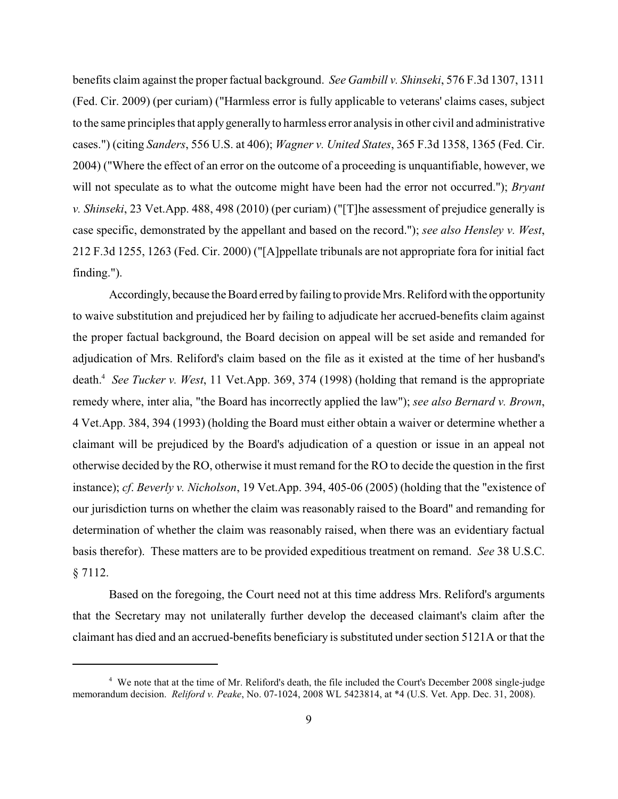benefits claim against the properfactual background. *See Gambill v. Shinseki*, 576 F.3d 1307, 1311 (Fed. Cir. 2009) (per curiam) ("Harmless error is fully applicable to veterans' claims cases, subject to the same principles that apply generally to harmless error analysis in other civil and administrative cases.") (citing *Sanders*, 556 U.S. at 406); *Wagner v. United States*, 365 F.3d 1358, 1365 (Fed. Cir. 2004) ("Where the effect of an error on the outcome of a proceeding is unquantifiable, however, we will not speculate as to what the outcome might have been had the error not occurred."); *Bryant v. Shinseki*, 23 Vet.App. 488, 498 (2010) (per curiam) ("[T]he assessment of prejudice generally is case specific, demonstrated by the appellant and based on the record."); *see also Hensley v. West*, 212 F.3d 1255, 1263 (Fed. Cir. 2000) ("[A]ppellate tribunals are not appropriate fora for initial fact finding.").

Accordingly, because the Board erred by failing to provide Mrs. Reliford with the opportunity to waive substitution and prejudiced her by failing to adjudicate her accrued-benefits claim against the proper factual background, the Board decision on appeal will be set aside and remanded for adjudication of Mrs. Reliford's claim based on the file as it existed at the time of her husband's death.<sup>4</sup> See Tucker v. West, 11 Vet.App. 369, 374 (1998) (holding that remand is the appropriate remedy where, inter alia, "the Board has incorrectly applied the law"); *see also Bernard v. Brown*, 4 Vet.App. 384, 394 (1993) (holding the Board must either obtain a waiver or determine whether a claimant will be prejudiced by the Board's adjudication of a question or issue in an appeal not otherwise decided by the RO, otherwise it must remand for the RO to decide the question in the first instance); *cf*. *Beverly v. Nicholson*, 19 Vet.App. 394, 405-06 (2005) (holding that the "existence of our jurisdiction turns on whether the claim was reasonably raised to the Board" and remanding for determination of whether the claim was reasonably raised, when there was an evidentiary factual basis therefor). These matters are to be provided expeditious treatment on remand. *See* 38 U.S.C. § 7112.

 Based on the foregoing, the Court need not at this time address Mrs. Reliford's arguments that the Secretary may not unilaterally further develop the deceased claimant's claim after the claimant has died and an accrued-benefits beneficiary is substituted under section 5121A or that the

<sup>&</sup>lt;sup>4</sup> We note that at the time of Mr. Reliford's death, the file included the Court's December 2008 single-judge memorandum decision. *Reliford v. Peake*, No. 07-1024, 2008 WL 5423814, at \*4 (U.S. Vet. App. Dec. 31, 2008).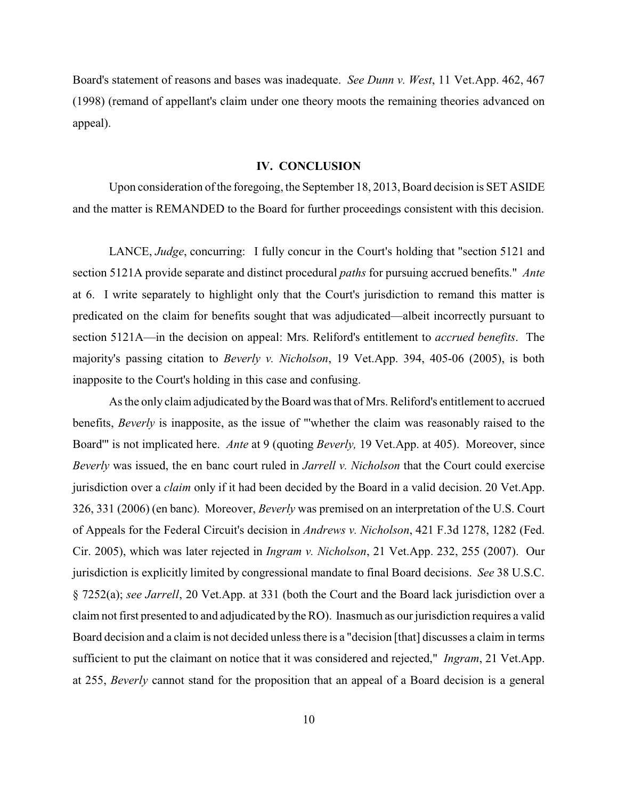Board's statement of reasons and bases was inadequate. *See Dunn v. West*, 11 Vet.App. 462, 467 (1998) (remand of appellant's claim under one theory moots the remaining theories advanced on appeal).

### **IV. CONCLUSION**

Upon consideration of the foregoing, the September 18, 2013, Board decision is SET ASIDE and the matter is REMANDED to the Board for further proceedings consistent with this decision.

LANCE, *Judge*, concurring: I fully concur in the Court's holding that "section 5121 and section 5121A provide separate and distinct procedural *paths* for pursuing accrued benefits." *Ante* at 6. I write separately to highlight only that the Court's jurisdiction to remand this matter is predicated on the claim for benefits sought that was adjudicated—albeit incorrectly pursuant to section 5121A—in the decision on appeal: Mrs. Reliford's entitlement to *accrued benefits*. The majority's passing citation to *Beverly v. Nicholson*, 19 Vet.App. 394, 405-06 (2005), is both inapposite to the Court's holding in this case and confusing.

As the only claim adjudicated by the Board was that of Mrs. Reliford's entitlement to accrued benefits, *Beverly* is inapposite, as the issue of "'whether the claim was reasonably raised to the Board'" is not implicated here. *Ante* at 9 (quoting *Beverly,* 19 Vet.App. at 405). Moreover, since *Beverly* was issued, the en banc court ruled in *Jarrell v. Nicholson* that the Court could exercise jurisdiction over a *claim* only if it had been decided by the Board in a valid decision. 20 Vet.App. 326, 331 (2006) (en banc). Moreover, *Beverly* was premised on an interpretation of the U.S. Court of Appeals for the Federal Circuit's decision in *Andrews v. Nicholson*, 421 F.3d 1278, 1282 (Fed. Cir. 2005), which was later rejected in *Ingram v. Nicholson*, 21 Vet.App. 232, 255 (2007). Our jurisdiction is explicitly limited by congressional mandate to final Board decisions. *See* 38 U.S.C. § 7252(a); *see Jarrell*, 20 Vet.App. at 331 (both the Court and the Board lack jurisdiction over a claim not first presented to and adjudicated by the RO). Inasmuch as our jurisdiction requires a valid Board decision and a claim is not decided unless there is a "decision [that] discusses a claim in terms sufficient to put the claimant on notice that it was considered and rejected," *Ingram*, 21 Vet.App. at 255, *Beverly* cannot stand for the proposition that an appeal of a Board decision is a general